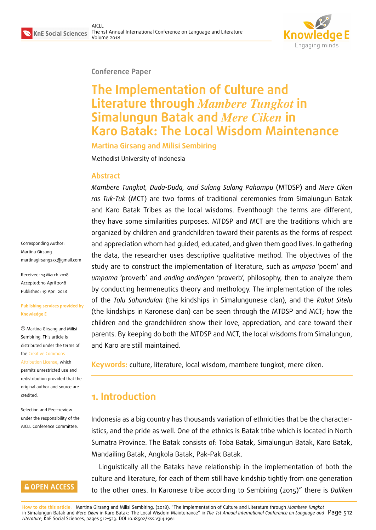

#### **Conference Paper**

# **The Implementation of Culture and Literature through** *Mambere Tungkot* **in Simalungun Batak and** *Mere Ciken* **in Karo Batak: The Local Wisdom Maintenance**

**Martina Girsang and Milisi Sembiring**

Methodist University of Indonesia

#### **Abstract**

*Mambere Tungkot, Duda-Duda, and Sulang Sulang Pahompu* (MTDSP) and *Mere Ciken ras Tuk-Tuk* (MCT) are two forms of traditional ceremonies from Simalungun Batak and Karo Batak Tribes as the local wisdoms. Eventhough the terms are different, they have some similarities purposes. MTDSP and MCT are the traditions which are organized by children and grandchildren toward their parents as the forms of respect and appreciation whom had guided, educated, and given them good lives. In gathering the data, the researcher uses descriptive qualitative method. The objectives of the study are to construct the implementation of literature, such as *umpasa* 'poem' and *umpama* 'proverb' and *anding andingen* 'proverb', philosophy, then to analyze them by conducting hermeneutics theory and methology. The implementation of the roles of the *Tolu Sahundulan* (the kindships in Simalungunese clan), and the *Rakut Sitelu* (the kindships in Karonese clan) can be seen through the MTDSP and MCT; how the children and the grandchildren show their love, appreciation, and care toward their parents. By keeping do both the MTDSP and MCT, the local wisdoms from Simalungun, and Karo are still maintained.

**Keywords:** culture, literature, local wisdom, mambere tungkot, mere ciken.

## **1. Introduction**

Indonesia as a big country has thousands variation of ethnicities that be the characteristics, and the pride as well. One of the ethnics is Batak tribe which is located in North Sumatra Province. The Batak consists of: Toba Batak, Simalungun Batak, Karo Batak, Mandailing Batak, Angkola Batak, Pak-Pak Batak.

Linguistically all the Bataks have relationship in the implementation of both the culture and literature, for each of them still have kindship tightly from one generation to the other ones. In Karonese tribe according to Sembiring (2015)" there is *Daliken*

**How to cite this article**: Martina Girsang and Milisi Sembiring, (2018), "The Implementation of Culture and Literature through *Mambere Tungkot* in Simalungun Batak and *Mere Ciken* in Karo Batak: The Local Wisdom Maintenance" in *The 1st Annual International Conference on Language and* Page 512 *Literature*, KnE Social Sciences, pages 512–523. DOI 10.18502/kss.v3i4.1961

Corresponding Author: Martina Girsang martinagirsang253@gmail.com

Received: 13 March 2018 Accepted: 10 April 2018 [Published: 19 April 2018](mailto:martinagirsang253@gmail.com)

#### **Publishing services provided by Knowledge E**

Martina Girsang and Milisi Sembiring. This article is distributed under the terms of the Creative Commons

Attribution License, which permits unrestricted use and redistribution provided that the ori[ginal author and sou](https://creativecommons.org/licenses/by/4.0/)rce are [credited.](https://creativecommons.org/licenses/by/4.0/)

Selection and Peer-review under the responsibility of the AICLL Conference Committee.

### **GOPEN ACCESS**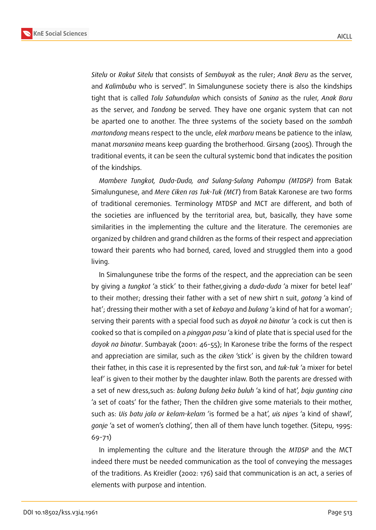

*Sitelu* or *Rakut Sitelu* that consists of *Sembuyak* as the ruler; *Anak Beru* as the server, and *Kalimbubu* who is served". In Simalungunese society there is also the kindships tight that is called *Tolu Sahundulan* which consists of *Sanina* as the ruler, *Anak Boru* as the server, and *Tondong* be served. They have one organic system that can not be aparted one to another. The three systems of the society based on the *sombah martondong* means respect to the uncle, *elek marboru* means be patience to the inlaw, manat *marsanina* means keep guarding the brotherhood. Girsang (2005). Through the traditional events, it can be seen the cultural systemic bond that indicates the position of the kindships.

*Mambere Tungkot, Duda-Duda, and Sulang-Sulang Pahompu (MTDSP)* from Batak Simalungunese, and *Mere Ciken ras Tuk-Tuk (MCT*) from Batak Karonese are two forms of traditional ceremonies. Terminology MTDSP and MCT are different, and both of the societies are influenced by the territorial area, but, basically, they have some similarities in the implementing the culture and the literature. The ceremonies are organized by children and grand children as the forms of their respect and appreciation toward their parents who had borned, cared, loved and struggled them into a good living.

In Simalungunese tribe the forms of the respect, and the appreciation can be seen by giving a *tungkot* 'a stick' to their father,giving a *duda-duda* 'a mixer for betel leaf' to their mother; dressing their father with a set of new shirt n suit, *gotong* 'a kind of hat'; dressing their mother with a set of *kebaya* and *bulang* 'a kind of hat for a woman'; serving their parents with a special food such as *dayok na binatur* 'a cock is cut then is cooked so that is compiled on a *pinggan pasu* 'a kind of plate that is special used for the *dayok na binatur*. Sumbayak (2001: 46-55); In Karonese tribe the forms of the respect and appreciation are similar, such as the *ciken* 'stick' is given by the children toward their father, in this case it is represented by the first son, and *tuk-tuk* 'a mixer for betel leaf' is given to their mother by the daughter inlaw. Both the parents are dressed with a set of new dress,such as: *bulang bulang beka buluh* 'a kind of hat', *baju gunting cina* 'a set of coats' for the father; Then the children give some materials to their mother, such as: *Uis batu jala or kelam-kelam* 'is formed be a hat', *uis nipes* 'a kind of shawl', *gonje* 'a set of women's clothing', then all of them have lunch together. (Sitepu, 1995: 69-71)

In implementing the culture and the literature through the *MTDSP* and the MCT indeed there must be needed communication as the tool of conveying the messages of the traditions. As Kreidler (2002: 176) said that communication is an act, a series of elements with purpose and intention.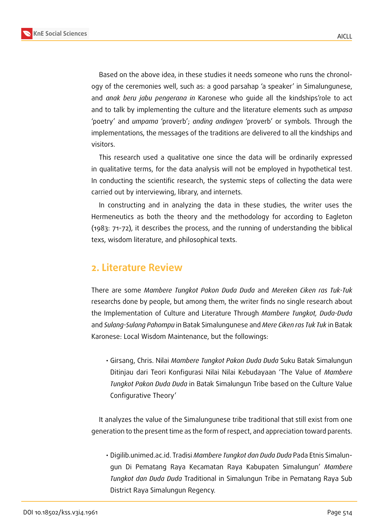

Based on the above idea, in these studies it needs someone who runs the chronology of the ceremonies well, such as: a good parsahap 'a speaker' in Simalungunese, and *anak beru jabu pengerana in* Karonese who guide all the kindships'role to act and to talk by implementing the culture and the literature elements such as *umpasa* 'poetry' and *umpama* 'proverb'; *anding andingen* 'proverb' or symbols. Through the implementations, the messages of the traditions are delivered to all the kindships and visitors.

This research used a qualitative one since the data will be ordinarily expressed in qualitative terms, for the data analysis will not be employed in hypothetical test. In conducting the scientific research, the systemic steps of collecting the data were carried out by interviewing, library, and internets.

In constructing and in analyzing the data in these studies, the writer uses the Hermeneutics as both the theory and the methodology for according to Eagleton (1983: 71-72), it describes the process, and the running of understanding the biblical texs, wisdom literature, and philosophical texts.

## **2. Literature Review**

There are some *Mambere Tungkot Pakon Duda Duda* and *Mereken Ciken ras Tuk-Tuk* researchs done by people, but among them, the writer finds no single research about the Implementation of Culture and Literature Through *Mambere Tungkot, Duda-Duda* and *Sulang-Sulang Pahompu* in Batak Simalungunese and *Mere Ciken ras Tuk Tuk* in Batak Karonese: Local Wisdom Maintenance, but the followings:

• Girsang, Chris. Nilai *Mambere Tungkot Pakon Duda Duda* Suku Batak Simalungun Ditinjau dari Teori Konfigurasi Nilai Nilai Kebudayaan 'The Value of *Mambere Tungkot Pakon Duda Duda* in Batak Simalungun Tribe based on the Culture Value Configurative Theory'

It analyzes the value of the Simalungunese tribe traditional that still exist from one generation to the present time as the form of respect, and appreciation toward parents.

• Digilib.unimed.ac.id. Tradisi *Mambere Tungkot dan Duda Duda* Pada Etnis Simalungun Di Pematang Raya Kecamatan Raya Kabupaten Simalungun' *Mambere Tungkot dan Duda Duda* Traditional in Simalungun Tribe in Pematang Raya Sub District Raya Simalungun Regency.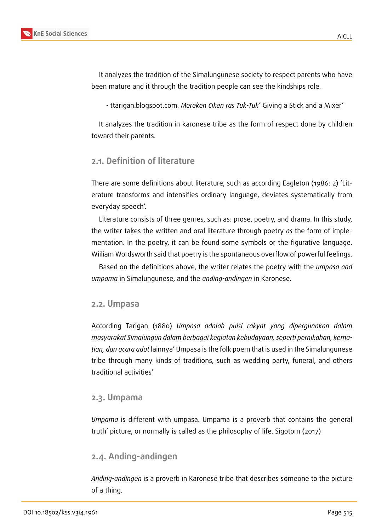

It analyzes the tradition of the Simalungunese society to respect parents who have been mature and it through the tradition people can see the kindships role.

• ttarigan.blogspot.com. *Mereken Ciken ras Tuk-Tuk*' Giving a Stick and a Mixer'

It analyzes the tradition in karonese tribe as the form of respect done by children toward their parents.

### **2.1. Definition of literature**

There are some definitions about literature, such as according Eagleton (1986: 2) 'Literature transforms and intensifies ordinary language, deviates systematically from everyday speech'.

Literature consists of three genres, such as: prose, poetry, and drama. In this study, the writer takes the written and oral literature through poetry *as* the form of implementation. In the poetry, it can be found some symbols or the figurative language. Wiiliam Wordsworth said that poetry is the spontaneous overflow of powerful feelings.

Based on the definitions above, the writer relates the poetry with the *umpasa and umpama* in Simalungunese, and the *anding-andingen* in Karonese.

#### **2.2. Umpasa**

According Tarigan (1880) *Umpasa adalah puisi rakyat yang dipergunakan dalam masyarakat Simalungun dalam berbagai kegiatan kebudayaan, seperti pernikahan, kematian, dan acara adat* lainnya' Umpasa is the folk poem that is used in the Simalungunese tribe through many kinds of traditions, such as wedding party, funeral, and others traditional activities'

#### **2.3. Umpama**

*Umpama* is different with umpasa. Umpama is a proverb that contains the general truth' picture, or normally is called as the philosophy of life. Sigotom (2017)

### **2.4. Anding-andingen**

*Anding-andingen* is a proverb in Karonese tribe that describes someone to the picture of a thing.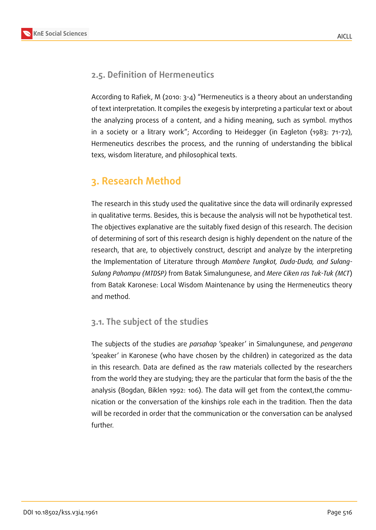

## **2.5. Definition of Hermeneutics**

According to Rafiek, M (2010: 3-4) "Hermeneutics is a theory about an understanding of text interpretation. It compiles the exegesis by interpreting a particular text or about the analyzing process of a content, and a hiding meaning, such as symbol. mythos in a society or a litrary work"; According to Heidegger (in Eagleton (1983: 71-72), Hermeneutics describes the process, and the running of understanding the biblical texs, wisdom literature, and philosophical texts.

## **3. Research Method**

The research in this study used the qualitative since the data will ordinarily expressed in qualitative terms. Besides, this is because the analysis will not be hypothetical test. The objectives explanative are the suitably fixed design of this research. The decision of determining of sort of this research design is highly dependent on the nature of the research, that are, to objectively construct, descript and analyze by the interpreting the Implementation of Literature through *Mambere Tungkot, Duda-Duda, and Sulang-Sulang Pahompu (MTDSP)* from Batak Simalungunese, and *Mere Ciken ras Tuk-Tuk (MCT*) from Batak Karonese: Local Wisdom Maintenance by using the Hermeneutics theory and method.

### **3.1. The subject of the studies**

The subjects of the studies are *parsahap* 'speaker' in Simalungunese, and *pengerana* 'speaker' in Karonese (who have chosen by the children) in categorized as the data in this research. Data are defined as the raw materials collected by the researchers from the world they are studying; they are the particular that form the basis of the the analysis (Bogdan, Biklen 1992: 106). The data will get from the context,the communication or the conversation of the kinships role each in the tradition. Then the data will be recorded in order that the communication or the conversation can be analysed further.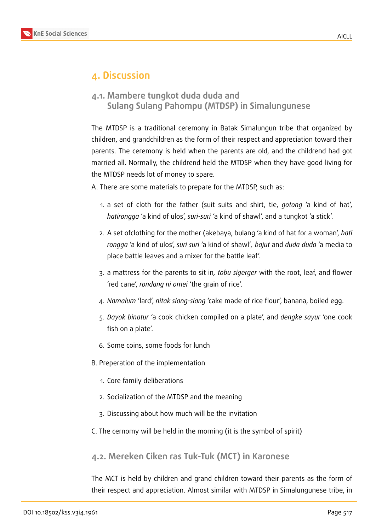

## **4. Discussion**

**4.1. Mambere tungkot duda duda and Sulang Sulang Pahompu (MTDSP) in Simalungunese**

The MTDSP is a traditional ceremony in Batak Simalungun tribe that organized by children, and grandchildren as the form of their respect and appreciation toward their parents. The ceremony is held when the parents are old, and the childrend had got married all. Normally, the childrend held the MTDSP when they have good living for the MTDSP needs lot of money to spare.

A. There are some materials to prepare for the MTDSP, such as:

- 1. a set of cloth for the father (suit suits and shirt, tie, *gotong* 'a kind of hat', *hatirongga* 'a kind of ulos', *suri-suri* 'a kind of shawl', and a tungkot 'a stick'.
- 2. A set ofclothing for the mother (akebaya, bulang 'a kind of hat for a woman', *hati rongga* 'a kind of ulos', *suri suri* 'a kind of shawl'*, bajut* and *duda duda* 'a media to place battle leaves and a mixer for the battle leaf'.
- 3. a mattress for the parents to sit in*, tobu sigerger* with the root, leaf, and flower 'red cane', *rondang ni omei* 'the grain of rice'.
- 4. *Namalum* 'lard', *nitak siang-siang* 'cake made of rice flour', banana, boiled egg.
- 5. *Dayok binatur* 'a cook chicken compiled on a plate', and *dengke sayur* 'one cook fish on a plate'.
- 6. Some coins, some foods for lunch
- B. Preperation of the implementation
	- 1. Core family deliberations
	- 2. Socialization of the MTDSP and the meaning
	- 3. Discussing about how much will be the invitation
- C. The cernomy will be held in the morning (it is the symbol of spirit)

### **4.2. Mereken Ciken ras Tuk-Tuk (MCT) in Karonese**

The MCT is held by children and grand children toward their parents as the form of their respect and appreciation. Almost similar with MTDSP in Simalungunese tribe, in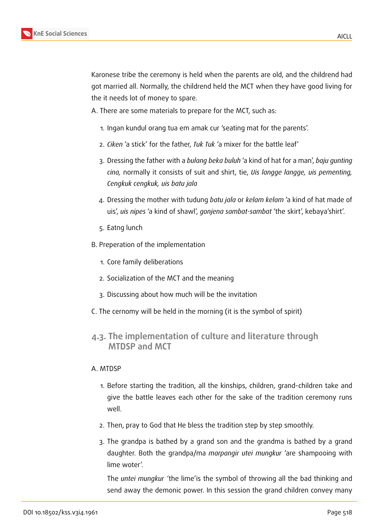Karonese tribe the ceremony is held when the parents are old, and the childrend had got married all. Normally, the childrend held the MCT when they have good living for the it needs lot of money to spare.

A. There are some materials to prepare for the MCT, such as:

- 1. Ingan kundul orang tua em amak cur 'seating mat for the parents'.
- 2. *Ciken* 'a stick' for the father, *Tuk Tuk* 'a mixer for the battle leaf'
- 3. Dressing the father with a *bulang beka buluh* 'a kind of hat for a man', *baju gunting cina,* normally it consists of suit and shirt, tie, *Uis langge langge, uis pementing, Cengkuk cengkuk, uis batu jala*
- 4. Dressing the mother with tudung *batu jala* or *kelam kelam* 'a kind of hat made of uis', *uis nipes* 'a kind of shawl', *gonjena sambat-sambat* 'the skirt', kebaya'shirt'.
- 5. Eatng lunch
- B. Preperation of the implementation
	- 1. Core family deliberations
	- 2. Socialization of the MCT and the meaning
	- 3. Discussing about how much will be the invitation
- C. The cernomy will be held in the morning (it is the symbol of spirit)

### **4.3. The implementation of culture and literature through MTDSP and MCT**

#### A. MTDSP

- 1. Before starting the tradition, all the kinships, children, grand-children take and give the battle leaves each other for the sake of the tradition ceremony runs well.
- 2. Then, pray to God that He bless the tradition step by step smoothly.
- 3. The grandpa is bathed by a grand son and the grandma is bathed by a grand daughter. Both the grandpa/ma *marpangir utei mungkur* 'are shampooing with lime woter'.

The *untei mungkur '*the lime'is the symbol of throwing all the bad thinking and send away the demonic power. In this session the grand children convey many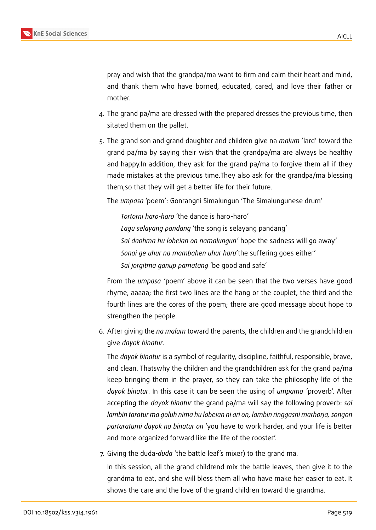pray and wish that the grandpa/ma want to firm and calm their heart and mind, and thank them who have borned, educated, cared, and love their father or mother.

- 4. The grand pa/ma are dressed with the prepared dresses the previous time, then sitated them on the pallet.
- 5. The grand son and grand daughter and children give na *malum* 'lard' toward the grand pa/ma by saying their wish that the grandpa/ma are always be healthy and happy.In addition, they ask for the grand pa/ma to forgive them all if they made mistakes at the previous time.They also ask for the grandpa/ma blessing them,so that they will get a better life for their future.

The *umpasa* 'poem': Gonrangni Simalungun 'The Simalungunese drum'

*Tortorni haro-haro* 'the dance is haro-haro' *Lagu selayang pandang* 'the song is selayang pandang' *Sai daohma hu lobeian on namalungun'* hope the sadness will go away' *Sonai ge uhur na mambahen uhur haru*'the suffering goes either' *Sai jorgitma ganup pamatang* 'be good and safe'

From the *umpasa '*poem' above it can be seen that the two verses have good rhyme, aaaaa; the first two lines are the hang or the couplet, the third and the fourth lines are the cores of the poem; there are good message about hope to strengthen the people.

6. After giving the *na malum* toward the parents, the children and the grandchildren give *dayok binatur*.

The *dayok binatur* is a symbol of regularity, discipline, faithful, responsible, brave, and clean. Thatswhy the children and the grandchildren ask for the grand pa/ma keep bringing them in the prayer, so they can take the philosophy life of the *dayok binatur*. In this case it can be seen the using of *umpama '*proverb'. After accepting the *dayok binatur* the grand pa/ma will say the following proverb: *sai lambin taratur ma goluh nima hu lobeian ni ari on, lambin ringgasni marhorja, songon partaraturni dayok na binatur on* 'you have to work harder, and your life is better and more organized forward like the life of the rooster'.

7. Giving the duda*-duda* 'the battle leaf's mixer) to the grand ma.

In this session, all the grand childrend mix the battle leaves, then give it to the grandma to eat, and she will bless them all who have make her easier to eat. It shows the care and the love of the grand children toward the grandma.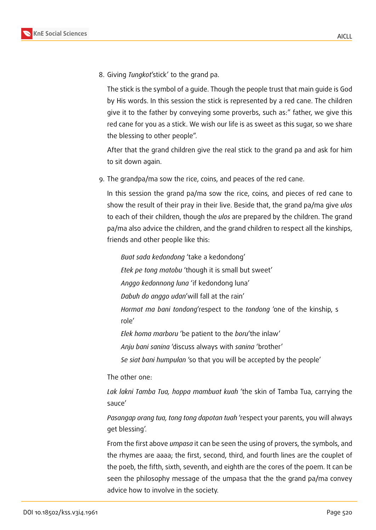

8. Giving *Tungkot*'stick' to the grand pa.

The stick is the symbol of a guide. Though the people trust that main guide is God by His words. In this session the stick is represented by a red cane. The children give it to the father by conveying some proverbs, such as:" father, we give this red cane for you as a stick. We wish our life is as sweet as this sugar, so we share the blessing to other people".

After that the grand children give the real stick to the grand pa and ask for him to sit down again.

9. The grandpa/ma sow the rice, coins, and peaces of the red cane.

In this session the grand pa/ma sow the rice, coins, and pieces of red cane to show the result of their pray in their live. Beside that, the grand pa/ma give *ulos* to each of their children, though the *ulos* are prepared by the children. The grand pa/ma also advice the children, and the grand children to respect all the kinships, friends and other people like this:

*Buat sada kedondong* 'take a kedondong'

*Etek pe tong matobu* 'though it is small but sweet'

*Anggo kedonnong luna* 'if kedondong luna'

*Dabuh do anggo udan*'will fall at the rain'

*Hormat ma bani tondong*'respect to the *tondong* 'one of the kinship, s role'

*Elek homa marboru* 'be patient to the *boru*'the inlaw'

*Anju bani sanina* 'discuss always with *sanina* 'brother'

*Se siat bani humpulan* 'so that you will be accepted by the people'

The other one:

*Lak lakni Tamba Tua, hoppa mambuat kuah* 'the skin of Tamba Tua, carrying the sauce'

*Pasangap orang tua, tong tong dapotan tuah* 'respect your parents, you will always get blessing'.

From the first above *umpasa* it can be seen the using of provers, the symbols, and the rhymes are aaaa; the first, second, third, and fourth lines are the couplet of the poeb, the fifth, sixth, seventh, and eighth are the cores of the poem. It can be seen the philosophy message of the umpasa that the the grand pa/ma convey advice how to involve in the society.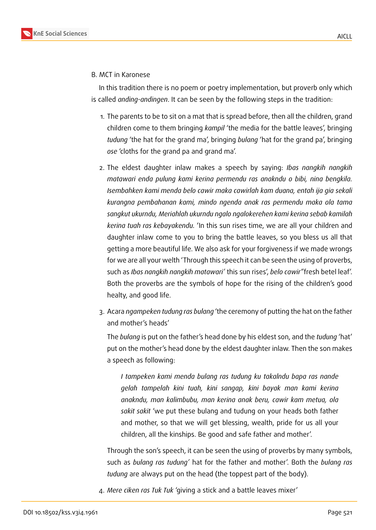#### B. MCT in Karonese

In this tradition there is no poem or poetry implementation, but proverb only which is called *anding-andingen*. It can be seen by the following steps in the tradition:

- 1. The parents to be to sit on a mat that is spread before, then all the children, grand children come to them bringing *kampil* 'the media for the battle leaves', bringing *tudung* 'the hat for the grand ma', bringing *bulang* 'hat for the grand pa', bringing *ose* 'cloths for the grand pa and grand ma'.
- 2. The eldest daughter inlaw makes a speech by saying: *Ibas nangkih nangkih matawari enda pulung kami kerina permendu ras anakndu o bibi, nina bengkila. Isembahken kami menda belo cawir maka cawirlah kam duana, entah ija gia sekali kurangna pembahanan kami, mindo ngenda anak ras permendu maka ola tama sangkut ukurndu, Meriahlah ukurndu ngalo ngalokerehen kami kerina sebab kamilah kerina tuah ras kebayakendu.* 'In this sun rises time, we are all your children and daughter inlaw come to you to bring the battle leaves, so you bless us all that getting a more beautiful life. We also ask for your forgiveness if we made wrongs for we are all your welth 'Through this speech it can be seen the using of proverbs, such as *Ibas nangkih nangkih matawari'* this sun rises', *belo cawir"*fresh betel leaf'. Both the proverbs are the symbols of hope for the rising of the children's good healty, and good life.
- 3. Acara *ngampeken tudung ras bulang* 'the ceremony of putting the hat on the father and mother's heads'

The *bulang* is put on the father's head done by his eldest son, and the *tudung* 'hat' put on the mother's head done by the eldest daughter inlaw. Then the son makes a speech as following:

*I tampeken kami menda bulang ras tudung ku takalndu bapa ras nande gelah tampelah kini tuah, kini sangap, kini bayak man kami kerina anakndu, man kalimbubu, man kerina anak beru, cawir kam metua, ola sakit sakit* 'we put these bulang and tudung on your heads both father and mother, so that we will get blessing, wealth, pride for us all your children, all the kinships. Be good and safe father and mother'.

Through the son's speech, it can be seen the using of proverbs by many symbols, such as *bulang ras tudung'* hat for the father and mother'. Both the *bulang ras tudung* are always put on the head (the toppest part of the body).

4. *Mere ciken ras Tuk Tuk* 'giving a stick and a battle leaves mixer'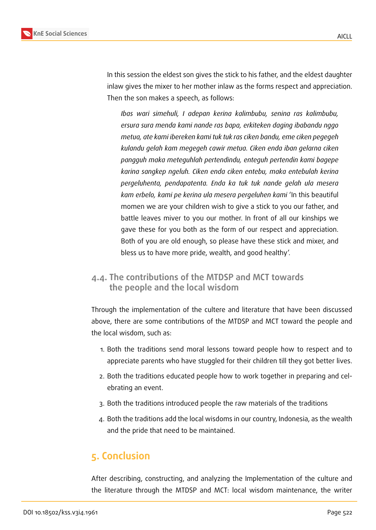

In this session the eldest son gives the stick to his father, and the eldest daughter inlaw gives the mixer to her mother inlaw as the forms respect and appreciation. Then the son makes a speech, as follows:

*Ibas wari simehuli, I adepan kerina kalimbubu, senina ras kalimbubu, ersura sura menda kami nande ras bapa, erkiteken daging ibabandu nggo metua, ate kami ibereken kami tuk tuk ras ciken bandu, eme ciken pegegeh kulandu gelah kam megegeh cawir metua. Ciken enda iban gelarna ciken pangguh maka meteguhlah pertendindu, enteguh pertendin kami bagepe karina sangkep ngeluh. Ciken enda ciken entebu, maka entebulah kerina pergeluhenta, pendapatenta. Enda ka tuk tuk nande gelah ula mesera kam erbelo, kami pe kerina ula mesera pergeluhen kami* 'In this beautiful momen we are your children wish to give a stick to you our father, and battle leaves miver to you our mother. In front of all our kinships we gave these for you both as the form of our respect and appreciation. Both of you are old enough, so please have these stick and mixer, and bless us to have more pride, wealth, and good healthy'.

### **4.4. The contributions of the MTDSP and MCT towards the people and the local wisdom**

Through the implementation of the cultere and literature that have been discussed above, there are some contributions of the MTDSP and MCT toward the people and the local wisdom, such as:

- 1. Both the traditions send moral lessons toward people how to respect and to appreciate parents who have stuggled for their children till they got better lives.
- 2. Both the traditions educated people how to work together in preparing and celebrating an event.
- 3. Both the traditions introduced people the raw materials of the traditions
- 4. Both the traditions add the local wisdoms in our country, Indonesia, as the wealth and the pride that need to be maintained.

## **5. Conclusion**

After describing, constructing, and analyzing the Implementation of the culture and the literature through the MTDSP and MCT: local wisdom maintenance, the writer